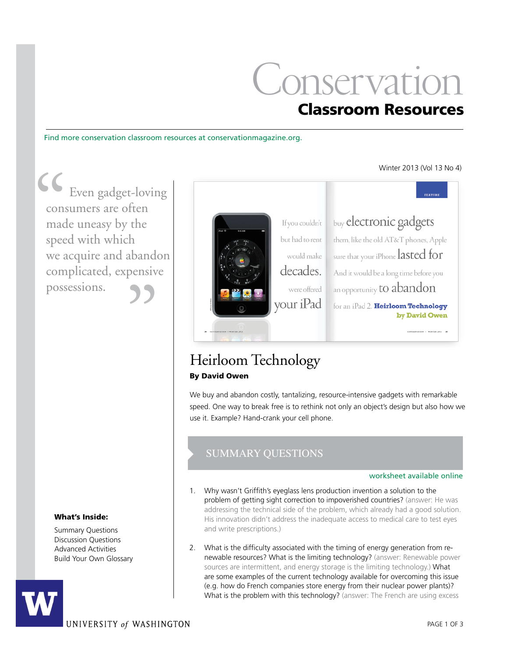# Conservation

## Classroom Resources

#### Find more conservation classroom resources at conservationmagazine.org.

CC<br>
cons<br>
mad<br>
spee bando<br>Pensivo<br>DD Even gadget-loving consumers are often made uneasy by the speed with which we acquire and abandon complicated, expensive possessions.

#### What's Inside:

Summary Questions Discussion Questions Advanced Activities Build Your Own Glossary





## [Heirloom Technology](http://www.conservationmagazine.org/2012/12/heirloom-technology/) By David Owen

We buy and abandon costly, tantalizing, resource-intensive gadgets with remarkable speed. One way to break free is to rethink not only an object's design but also how we use it. Example? Hand-crank your cell phone.

## **SUMMARY QUESTIONS**

#### worksheet available online

- 1. Why wasn't Griffith's eyeglass lens production invention a solution to the problem of getting sight correction to impoverished countries? (answer: He was addressing the technical side of the problem, which already had a good solution. His innovation didn't address the inadequate access to medical care to test eyes and write prescriptions.)
- 2. What is the difficulty associated with the timing of energy generation from renewable resources? What is the limiting technology? (answer: Renewable power sources are intermittent, and energy storage is the limiting technology.) What are some examples of the current technology available for overcoming this issue (e.g. how do French companies store energy from their nuclear power plants)? What is the problem with this technology? (answer: The French are using excess

Winter 2013 (Vol 13 No 4)

UNIVERSITY of WASHINGTON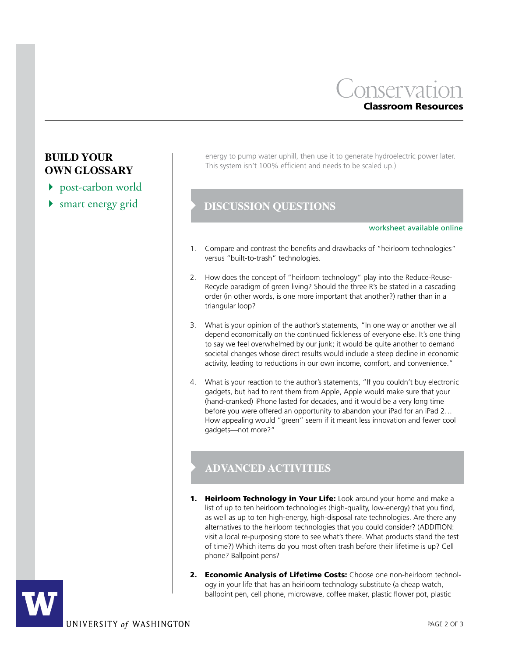

## **BUILD YOUR OWN GLOSSARY**

- post-carbon world
- smart energy grid  $\blacktriangleright$

energy to pump water uphill, then use it to generate hydroelectric power later. This system isn't 100% efficient and needs to be scaled up.)

### 4**discussion QUESTIONS**

#### worksheet available online

- 1. Compare and contrast the benefits and drawbacks of "heirloom technologies" versus "built-to-trash" technologies.
- 2. How does the concept of "heirloom technology" play into the Reduce-Reuse-Recycle paradigm of green living? Should the three R's be stated in a cascading order (in other words, is one more important that another?) rather than in a triangular loop?
- 3. What is your opinion of the author's statements, "In one way or another we all depend economically on the continued fickleness of everyone else. It's one thing to say we feel overwhelmed by our junk; it would be quite another to demand societal changes whose direct results would include a steep decline in economic activity, leading to reductions in our own income, comfort, and convenience."
- 4. What is your reaction to the author's statements, "If you couldn't buy electronic gadgets, but had to rent them from Apple, Apple would make sure that your (hand-cranked) iPhone lasted for decades, and it would be a very long time before you were offered an opportunity to abandon your iPad for an iPad 2… How appealing would "green" seem if it meant less innovation and fewer cool gadgets—not more?"

## 4**Advanced Activities**

- **1. Heirloom Technology in Your Life:** Look around your home and make a list of up to ten heirloom technologies (high-quality, low-energy) that you find, as well as up to ten high-energy, high-disposal rate technologies. Are there any alternatives to the heirloom technologies that you could consider? (ADDITION: visit a local re-purposing store to see what's there. What products stand the test of time?) Which items do you most often trash before their lifetime is up? Cell phone? Ballpoint pens?
- 2. Economic Analysis of Lifetime Costs: Choose one non-heirloom technology in your life that has an heirloom technology substitute (a cheap watch, ballpoint pen, cell phone, microwave, coffee maker, plastic flower pot, plastic